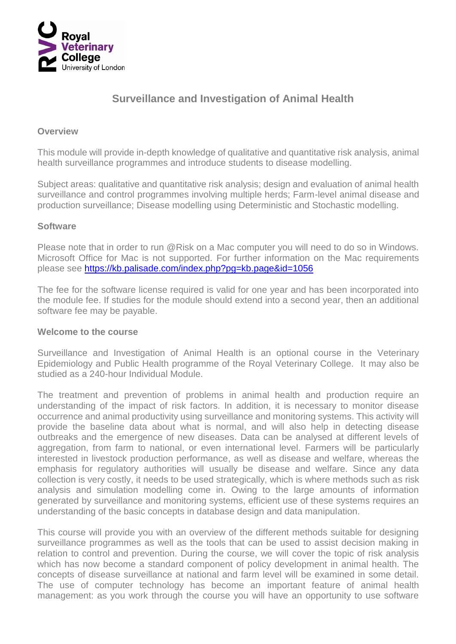

# **Surveillance and Investigation of Animal Health**

#### **Overview**

This module will provide in-depth knowledge of qualitative and quantitative risk analysis, animal health surveillance programmes and introduce students to disease modelling.

Subject areas: qualitative and quantitative risk analysis; design and evaluation of animal health surveillance and control programmes involving multiple herds; Farm-level animal disease and production surveillance; Disease modelling using Deterministic and Stochastic modelling.

#### **Software**

Please note that in order to run @Risk on a Mac computer you will need to do so in Windows. Microsoft Office for Mac is not supported. For further information on the Mac requirements please see<https://kb.palisade.com/index.php?pg=kb.page&id=1056>

The fee for the software license required is valid for one year and has been incorporated into the module fee. If studies for the module should extend into a second year, then an additional software fee may be payable.

#### **Welcome to the course**

Surveillance and Investigation of Animal Health is an optional course in the Veterinary Epidemiology and Public Health programme of the Royal Veterinary College. It may also be studied as a 240-hour Individual Module.

The treatment and prevention of problems in animal health and production require an understanding of the impact of risk factors. In addition, it is necessary to monitor disease occurrence and animal productivity using surveillance and monitoring systems. This activity will provide the baseline data about what is normal, and will also help in detecting disease outbreaks and the emergence of new diseases. Data can be analysed at different levels of aggregation, from farm to national, or even international level. Farmers will be particularly interested in livestock production performance, as well as disease and welfare, whereas the emphasis for regulatory authorities will usually be disease and welfare. Since any data collection is very costly, it needs to be used strategically, which is where methods such as risk analysis and simulation modelling come in. Owing to the large amounts of information generated by surveillance and monitoring systems, efficient use of these systems requires an understanding of the basic concepts in database design and data manipulation.

This course will provide you with an overview of the different methods suitable for designing surveillance programmes as well as the tools that can be used to assist decision making in relation to control and prevention. During the course, we will cover the topic of risk analysis which has now become a standard component of policy development in animal health. The concepts of disease surveillance at national and farm level will be examined in some detail. The use of computer technology has become an important feature of animal health management: as you work through the course you will have an opportunity to use software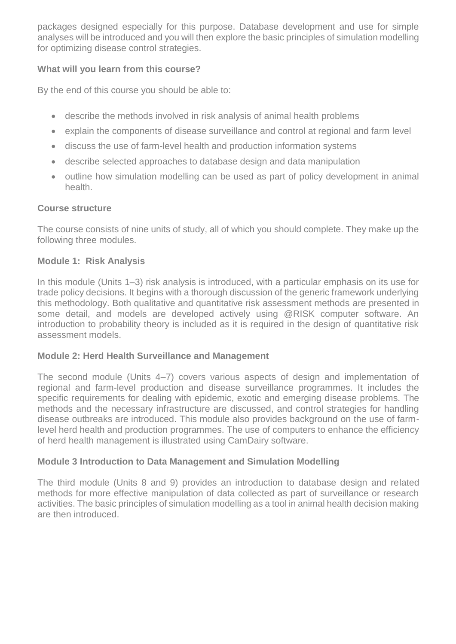packages designed especially for this purpose. Database development and use for simple analyses will be introduced and you will then explore the basic principles of simulation modelling for optimizing disease control strategies.

# **What will you learn from this course?**

By the end of this course you should be able to:

- describe the methods involved in risk analysis of animal health problems
- explain the components of disease surveillance and control at regional and farm level
- discuss the use of farm-level health and production information systems
- describe selected approaches to database design and data manipulation
- outline how simulation modelling can be used as part of policy development in animal health.

#### **Course structure**

The course consists of nine units of study, all of which you should complete. They make up the following three modules.

#### **Module 1: Risk Analysis**

In this module (Units 1–3) risk analysis is introduced, with a particular emphasis on its use for trade policy decisions. It begins with a thorough discussion of the generic framework underlying this methodology. Both qualitative and quantitative risk assessment methods are presented in some detail, and models are developed actively using @RISK computer software. An introduction to probability theory is included as it is required in the design of quantitative risk assessment models.

# **Module 2: Herd Health Surveillance and Management**

The second module (Units 4–7) covers various aspects of design and implementation of regional and farm-level production and disease surveillance programmes. It includes the specific requirements for dealing with epidemic, exotic and emerging disease problems. The methods and the necessary infrastructure are discussed, and control strategies for handling disease outbreaks are introduced. This module also provides background on the use of farmlevel herd health and production programmes. The use of computers to enhance the efficiency of herd health management is illustrated using CamDairy software.

# **Module 3 Introduction to Data Management and Simulation Modelling**

The third module (Units 8 and 9) provides an introduction to database design and related methods for more effective manipulation of data collected as part of surveillance or research activities. The basic principles of simulation modelling as a tool in animal health decision making are then introduced.